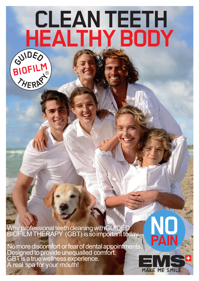# **CLEAN TEETH HEALTHY BODY**



Why professional teeth cleaning with GUIDED BIOFILM THERAPY (GBT) is so important today.

 No more discomfort or fear of dental appointments. Designed to provide unequalled comfort. GBT is a true wellness experience. A real spa for your mouth!

**ME SM** 

**PAIN**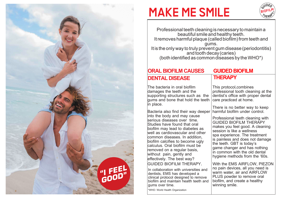

## **MAKE ME SMILE**



Professional teeth cleaning is necessary to maintain a beautiful smile and healthy teeth. It removes harmful plaque (called biofilm) from teeth and gums. It is the only way to truly prevent gum disease (periodontitis) and tooth decay (caries) (both identified as common diseases by the WHO\*)

### **ORAL BIOFILM CAUSES DENTAL DISEASE**

The bacteria in oral biofilm damages the teeth and the supporting structures such as the gums and bone that hold the teeth in place.

Bacteria also find their way deeper into the body and may cause serious diseases over time. Studies have found that oral biofilm may lead to diabetes as well as cardiovascular and other common diseases. In addition, biofilm calcifies to become ugly calculus. Oral biofilm must be removed on a regular basis, without pain, gently and effectively. The best way? GUIDED BIOFILM THERAPY.

In collaboration with universities and dentists, EMS has developed a clinical protocol designed to remove biofilm and maintain health teeth and gums over time.

\*WHO: World Health Organization

#### **GUIDED BIOFILM THERAPY**

This protocol,combines professional tooth cleaning at the dentist's office with proper dental care practiced at home.

There is no better way to keep harmful biofilm under control.

Professional teeth cleaning with GUIDED BIOFILM THERAPY makes you feel good. A cleaning session is like a wellness spa experience. The treatment is painless and does not damage the teeth. GBT is today's game changer and has nothing in common with the old dental hygiene methods from the '60s.

With the EMS AIRFLOW, PIEZON no pain devices, all you need is warm water, air and AIRFLOW PLUS powder to remove oral biofilm, and create a healthy winning smile.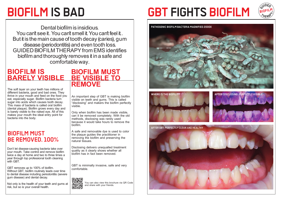Dental biofilm is insidious. **PATHOGENIC BIOFILM BACTERIA MAGNIFIED 2000X** You can't see it. You can't smell it. You can't feel it. But it is the main cause of tooth decay (caries), gum disease (periodontitis) and even tooth loss. GUIDED BIOFILM THERAPY from EMS identifies biofilm and thoroughly removes it in a safe and comfortable way.

### **BIOFILM IS BARELY VISIBLE BE VISIBLE TO**

The soft layer on your teeth has millions of different bacteria, good and bad ones. They thrive in your mouth and feed on the food you eat, especially sugar. Biofilm bacteria turn sugar into acids which causes tooth decay. This mass of bacteria is called oral biofilm (dental plaque). Biofilm grows every day and is barely visible to the naked eye. All of this makes your mouth the ideal entry point for bacteria into the body.

#### **BIOFILM MUST BE REMOVED. 100%**

Don't let disease-causing bacteria take over your mouth. Take control and remove biofilm twice a day at home and two to three times a year through top professional tooth cleaning with GBT.

GBT removes up to 100% of biofilm. Without GBT, biofilm routinely leads over time to dental disease including periodontitis (severe gum disease) and dental decay.

Not only is the health of your teeth and gums at risk, but so is your overall health.

### **BIOFILM MUST REMOVE**

An important step of GBT is making biofilm visible on teeth and gums. This is called "disclosing" and makers the biofilm perfectly visible.

Only when biofilm has been made visible, can it be removed completely. With the old methods, disclosing was rarely used because it would take hours to remove the biofilm.

A safe and removable dye is used to color the plaque guides the practitioner in removing the biofilm and preserving the natural tissues.

Disclosing delivers unequalled treatment quality as it clearly shows whether all biofilm has in fact been removed.

GBT is minimally invasive, safe and very comfortable.



You can also view this brochure via QR Code and share with your friends.

## **BIOFILM IS BAD GBT FIGHTS BIOFILM**



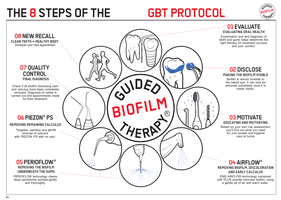## THE 8 STEPS OF THE **GBT PROTOCOL**